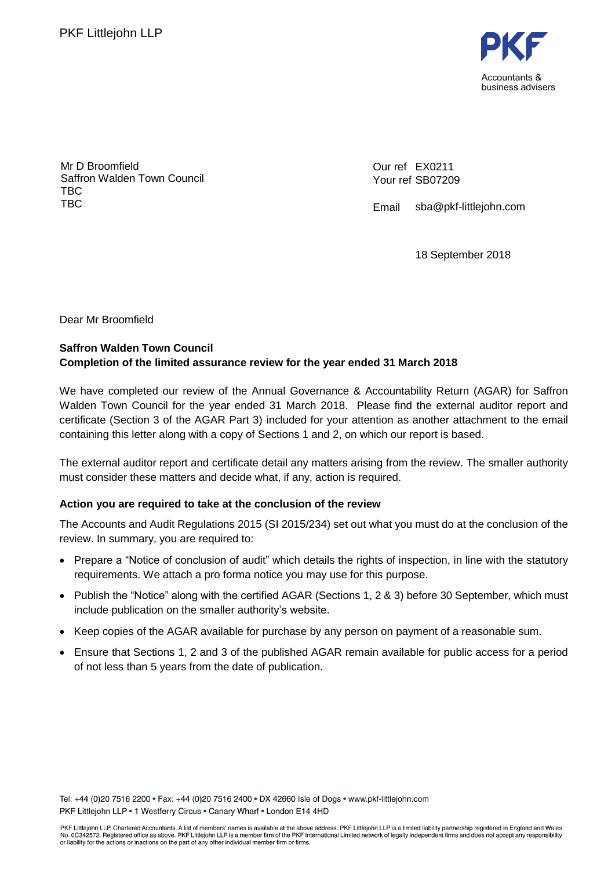

Mr D Broomfield Saffron Walden Town Council TBC TBC

Our ref EX0211 Your ref SB07209

Email sba@pkf-littlejohn.com

18 September 2018

Dear Mr Broomfield

## **Saffron Walden Town Council Completion of the limited assurance review for the year ended 31 March 2018**

We have completed our review of the Annual Governance & Accountability Return (AGAR) for Saffron Walden Town Council for the year ended 31 March 2018. Please find the external auditor report and certificate (Section 3 of the AGAR Part 3) included for your attention as another attachment to the email containing this letter along with a copy of Sections 1 and 2, on which our report is based.

The external auditor report and certificate detail any matters arising from the review. The smaller authority must consider these matters and decide what, if any, action is required.

### **Action you are required to take at the conclusion of the review**

The Accounts and Audit Regulations 2015 (SI 2015/234) set out what you must do at the conclusion of the review. In summary, you are required to:

- Prepare a "Notice of conclusion of audit" which details the rights of inspection, in line with the statutory requirements. We attach a pro forma notice you may use for this purpose.
- Publish the "Notice" along with the certified AGAR (Sections 1, 2 & 3) before 30 September, which must include publication on the smaller authority's website.
- Keep copies of the AGAR available for purchase by any person on payment of a reasonable sum.
- Ensure that Sections 1, 2 and 3 of the published AGAR remain available for public access for a period of not less than 5 years from the date of publication.

Tel: +44 (0)20 7516 2200 · Fax: +44 (0)20 7516 2400 · DX 42660 Isle of Dogs · www.pkf-littlejohn.com PKF Littlejohn LLP . 1 Westferry Circus . Canary Wharf . London E14 4HD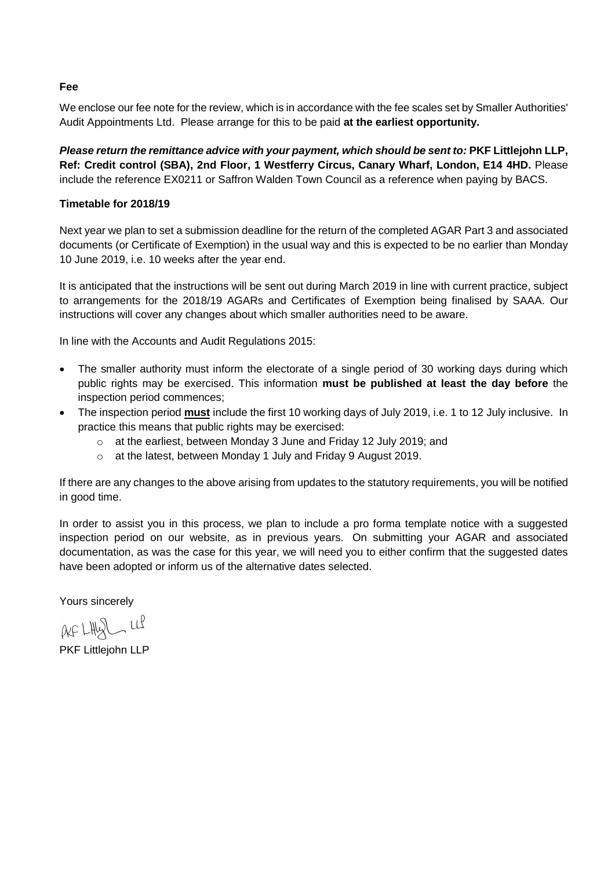#### **Fee**

We enclose our fee note for the review, which is in accordance with the fee scales set by Smaller Authorities' Audit Appointments Ltd. Please arrange for this to be paid **at the earliest opportunity.**

*Please return the remittance advice with your payment, which should be sent to:* **PKF Littlejohn LLP, Ref: Credit control (SBA), 2nd Floor, 1 Westferry Circus, Canary Wharf, London, E14 4HD.** Please include the reference EX0211 or Saffron Walden Town Council as a reference when paying by BACS.

### **Timetable for 2018/19**

Next year we plan to set a submission deadline for the return of the completed AGAR Part 3 and associated documents (or Certificate of Exemption) in the usual way and this is expected to be no earlier than Monday 10 June 2019, i.e. 10 weeks after the year end.

It is anticipated that the instructions will be sent out during March 2019 in line with current practice, subject to arrangements for the 2018/19 AGARs and Certificates of Exemption being finalised by SAAA. Our instructions will cover any changes about which smaller authorities need to be aware.

In line with the Accounts and Audit Regulations 2015:

- The smaller authority must inform the electorate of a single period of 30 working days during which public rights may be exercised. This information **must be published at least the day before** the inspection period commences;
- The inspection period **must** include the first 10 working days of July 2019, i.e. 1 to 12 July inclusive. In practice this means that public rights may be exercised:
	- o at the earliest, between Monday 3 June and Friday 12 July 2019; and
	- o at the latest, between Monday 1 July and Friday 9 August 2019.

If there are any changes to the above arising from updates to the statutory requirements, you will be notified in good time.

In order to assist you in this process, we plan to include a pro forma template notice with a suggested inspection period on our website, as in previous years. On submitting your AGAR and associated documentation, as was the case for this year, we will need you to either confirm that the suggested dates have been adopted or inform us of the alternative dates selected.

Yours sincerely

 $AFLHQLHQ$ 

PKF Littlejohn LLP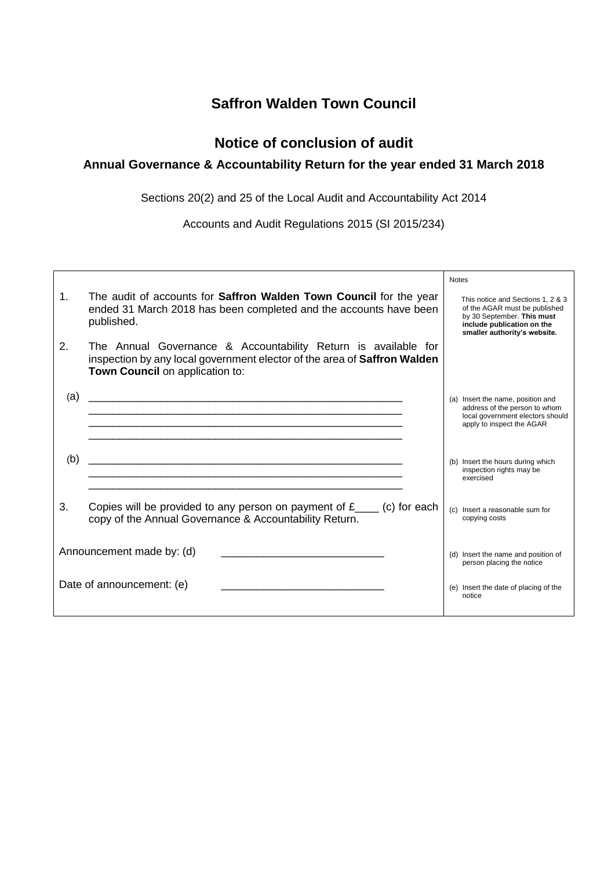## **Saffron Walden Town Council**

## **Notice of conclusion of audit**

## **Annual Governance & Accountability Return for the year ended 31 March 2018**

Sections 20(2) and 25 of the Local Audit and Accountability Act 2014

Accounts and Audit Regulations 2015 (SI 2015/234)

|                |                                                                                                                                                                               | <b>Notes</b>                                                                                                                                                   |
|----------------|-------------------------------------------------------------------------------------------------------------------------------------------------------------------------------|----------------------------------------------------------------------------------------------------------------------------------------------------------------|
| $\mathbf{1}$ . | The audit of accounts for <b>Saffron Walden Town Council</b> for the year<br>ended 31 March 2018 has been completed and the accounts have been<br>published.                  | This notice and Sections 1, 2 & 3<br>of the AGAR must be published<br>by 30 September. This must<br>include publication on the<br>smaller authority's website. |
| 2.             | The Annual Governance & Accountability Return is available for<br>inspection by any local government elector of the area of Saffron Walden<br>Town Council on application to: |                                                                                                                                                                |
| (a)            |                                                                                                                                                                               | (a) Insert the name, position and<br>address of the person to whom<br>local government electors should<br>apply to inspect the AGAR                            |
| (b)            |                                                                                                                                                                               | (b) Insert the hours during which<br>inspection rights may be<br>exercised                                                                                     |
| 3.             | Copies will be provided to any person on payment of $f_{\text{max}}$ (c) for each<br>copy of the Annual Governance & Accountability Return.                                   | (c) Insert a reasonable sum for<br>copying costs                                                                                                               |
|                | Announcement made by: (d)                                                                                                                                                     | (d) Insert the name and position of<br>person placing the notice                                                                                               |
|                | Date of announcement: (e)                                                                                                                                                     | (e) Insert the date of placing of the<br>notice                                                                                                                |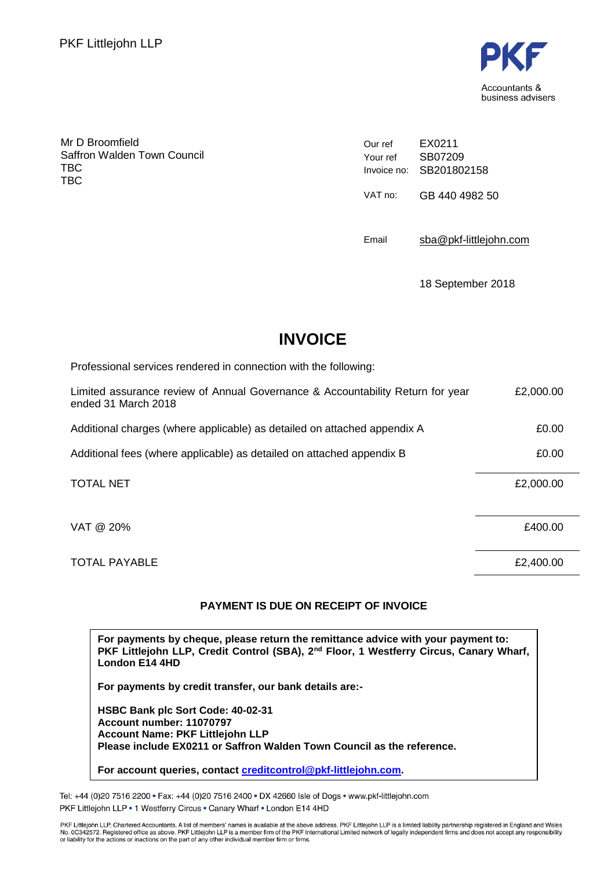

Mr D Broomfield Saffron Walden Town Council TBC TBC

Our ref Your ref Invoice no: SB201802158 EX0211 SB07209 VAT no: GB 440 4982 50

Email [sba@pkf-littlejohn.com](mailto:sba@pkf-littlejohn.com)

18 September 2018

# **INVOICE**

Professional services rendered in connection with the following:

| Limited assurance review of Annual Governance & Accountability Return for year<br>ended 31 March 2018 | £2,000.00 |
|-------------------------------------------------------------------------------------------------------|-----------|
| Additional charges (where applicable) as detailed on attached appendix A                              | £0.00     |
| Additional fees (where applicable) as detailed on attached appendix B                                 | £0.00     |
| <b>TOTAL NET</b>                                                                                      | £2,000.00 |
| VAT @ 20%                                                                                             | £400.00   |
| <b>TOTAL PAYABLE</b>                                                                                  | £2,400.00 |

## **PAYMENT IS DUE ON RECEIPT OF INVOICE**

**For payments by cheque, please return the remittance advice with your payment to: PKF Littlejohn LLP, Credit Control (SBA), 2nd Floor, 1 Westferry Circus, Canary Wharf, London E14 4HD**

**For payments by credit transfer, our bank details are:-**

**HSBC Bank plc Sort Code: 40-02-31 Account number: 11070797 Account Name: PKF Littlejohn LLP Please include EX0211 or Saffron Walden Town Council as the reference.**

**For account queries, contact [creditcontrol@pkf-littlejohn.com.](mailto:creditcontrol@pkf-littlejohn.com)**

Tel: +44 (0)20 7516 2200 · Fax: +44 (0)20 7516 2400 · DX 42660 Isle of Dogs · www.pkf-littlejohn.com PKF Littlejohn LLP . 1 Westferry Circus . Canary Wharf . London E14 4HD

PKF Littlejohn LLP, Chartered Accountants. A list of members' names is available at the above address. PKF Littlejohn LLP is a limited liability partnership registered in England and Wales<br>No. 0C342572. Registered office a or liability for the actions or inactions on the part of any other individual member firm or firms.